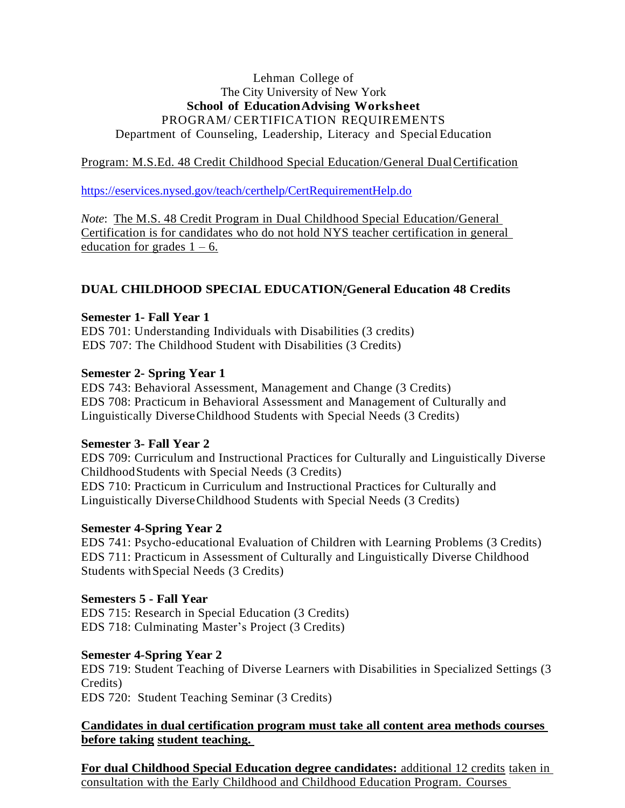## Lehman College of The City University of New York **School of EducationAdvising Worksheet** PROGRAM/ CERTIFICATION REQUIREMENTS Department of Counseling, Leadership, Literacy and Special Education

## Program: M.S.Ed. 48 Credit Childhood Special Education/General DualCertification

<https://eservices.nysed.gov/teach/certhelp/CertRequirementHelp.do>

*Note*: The M.S. 48 Credit Program in Dual Childhood Special Education/General Certification is for candidates who do not hold NYS teacher certification in general education for grades  $1 - 6$ .

# **DUAL CHILDHOOD SPECIAL EDUCATION/General Education 48 Credits**

## **Semester 1- Fall Year 1**

EDS 701: Understanding Individuals with Disabilities (3 credits) EDS 707: The Childhood Student with Disabilities (3 Credits)

## **Semester 2- Spring Year 1**

EDS 743: Behavioral Assessment, Management and Change (3 Credits) EDS 708: Practicum in Behavioral Assessment and Management of Culturally and Linguistically DiverseChildhood Students with Special Needs (3 Credits)

### **Semester 3- Fall Year 2**

EDS 709: Curriculum and Instructional Practices for Culturally and Linguistically Diverse ChildhoodStudents with Special Needs (3 Credits) EDS 710: Practicum in Curriculum and Instructional Practices for Culturally and Linguistically DiverseChildhood Students with Special Needs (3 Credits)

### **Semester 4-Spring Year 2**

EDS 741: Psycho-educational Evaluation of Children with Learning Problems (3 Credits) EDS 711: Practicum in Assessment of Culturally and Linguistically Diverse Childhood Students withSpecial Needs (3 Credits)

# **Semesters 5 - Fall Year**

EDS 715: Research in Special Education (3 Credits) EDS 718: Culminating Master's Project (3 Credits)

# **Semester 4-Spring Year 2**

EDS 719: Student Teaching of Diverse Learners with Disabilities in Specialized Settings (3 Credits) EDS 720: Student Teaching Seminar (3 Credits)

## **Candidates in dual certification program must take all content area methods courses before taking student teaching.**

**For dual Childhood Special Education degree candidates:** additional 12 credits taken in consultation with the Early Childhood and Childhood Education Program. Courses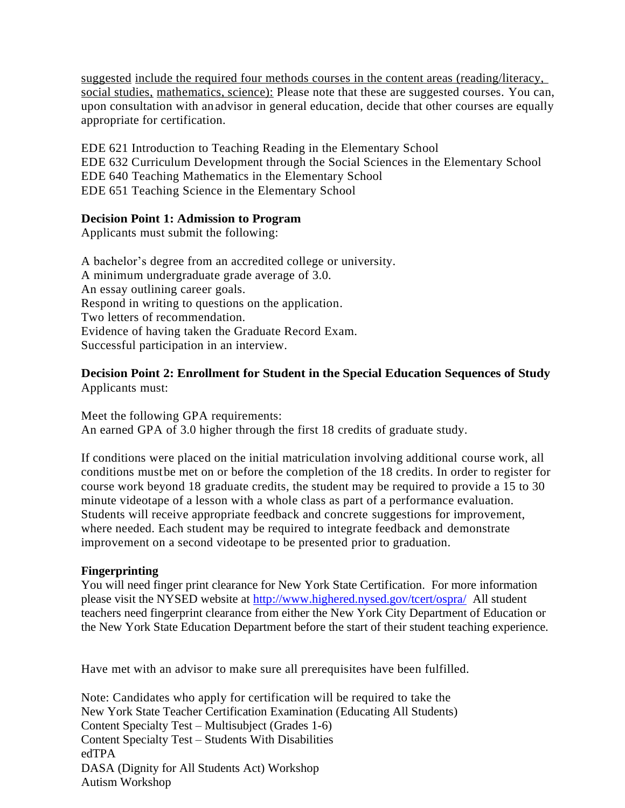suggested include the required four methods courses in the content areas (reading/literacy, social studies, mathematics, science): Please note that these are suggested courses. You can, upon consultation with an advisor in general education, decide that other courses are equally appropriate for certification.

EDE 621 Introduction to Teaching Reading in the Elementary School EDE 632 Curriculum Development through the Social Sciences in the Elementary School EDE 640 Teaching Mathematics in the Elementary School EDE 651 Teaching Science in the Elementary School

### **Decision Point 1: Admission to Program**

Applicants must submit the following:

A bachelor's degree from an accredited college or university. A minimum undergraduate grade average of 3.0. An essay outlining career goals. Respond in writing to questions on the application. Two letters of recommendation. Evidence of having taken the Graduate Record Exam. Successful participation in an interview.

#### **Decision Point 2: Enrollment for Student in the Special Education Sequences of Study** Applicants must:

Meet the following GPA requirements: An earned GPA of 3.0 higher through the first 18 credits of graduate study.

If conditions were placed on the initial matriculation involving additional course work, all conditions mustbe met on or before the completion of the 18 credits. In order to register for course work beyond 18 graduate credits, the student may be required to provide a 15 to 30 minute videotape of a lesson with a whole class as part of a performance evaluation. Students will receive appropriate feedback and concrete suggestions for improvement, where needed. Each student may be required to integrate feedback and demonstrate improvement on a second videotape to be presented prior to graduation.

### **Fingerprinting**

You will need finger print clearance for New York State Certification. For more information please visit the NYSED website at<http://www.highered.nysed.gov/tcert/ospra/>All student teachers need fingerprint clearance from either the New York City Department of Education or the New York State Education Department before the start of their student teaching experience.

Have met with an advisor to make sure all prerequisites have been fulfilled.

Note: Candidates who apply for certification will be required to take the New York State Teacher Certification Examination (Educating All Students) Content Specialty Test – Multisubject (Grades 1-6) Content Specialty Test – Students With Disabilities edTPA DASA (Dignity for All Students Act) Workshop Autism Workshop